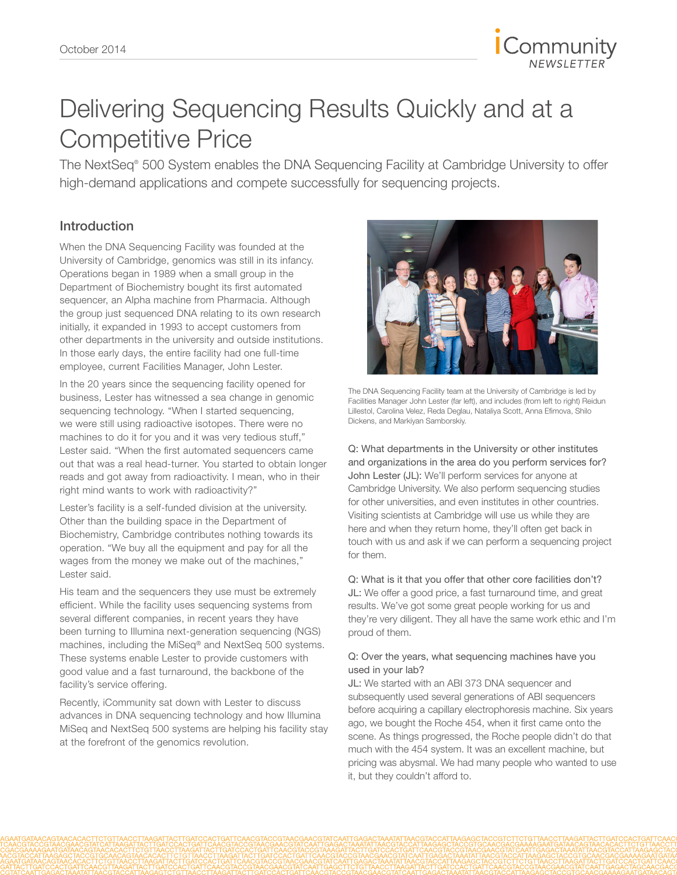

## Delivering Sequencing Results Quickly and at a Competitive Price

The NextSeq® 500 System enables the DNA Sequencing Facility at Cambridge University to offer high-demand applications and compete successfully for sequencing projects.

### Introduction

When the DNA Sequencing Facility was founded at the University of Cambridge, genomics was still in its infancy. Operations began in 1989 when a small group in the Department of Biochemistry bought its first automated sequencer, an Alpha machine from Pharmacia. Although the group just sequenced DNA relating to its own research initially, it expanded in 1993 to accept customers from other departments in the university and outside institutions. In those early days, the entire facility had one full-time employee, current Facilities Manager, John Lester.

In the 20 years since the sequencing facility opened for business, Lester has witnessed a sea change in genomic sequencing technology. "When I started sequencing, we were still using radioactive isotopes. There were no machines to do it for you and it was very tedious stuff," Lester said. "When the first automated sequencers came out that was a real head-turner. You started to obtain longer reads and got away from radioactivity. I mean, who in their right mind wants to work with radioactivity?"

Lester's facility is a self-funded division at the university. Other than the building space in the Department of Biochemistry, Cambridge contributes nothing towards its operation. "We buy all the equipment and pay for all the wages from the money we make out of the machines," Lester said.

His team and the sequencers they use must be extremely efficient. While the facility uses sequencing systems from several different companies, in recent years they have been turning to Illumina next-generation sequencing (NGS) machines, including the MiSeq® and NextSeq 500 systems. These systems enable Lester to provide customers with good value and a fast turnaround, the backbone of the facility's service offering.

Recently, iCommunity sat down with Lester to discuss advances in DNA sequencing technology and how Illumina MiSeq and NextSeq 500 systems are helping his facility stay at the forefront of the genomics revolution.



The DNA Sequencing Facility team at the University of Cambridge is led by Facilities Manager John Lester (far left), and includes (from left to right) Reidun Lillestol, Carolina Velez, Reda Deglau, Nataliya Scott, Anna Efimova, Shilo Dickens, and Markiyan Samborskiy.

Q: What departments in the University or other institutes and organizations in the area do you perform services for? John Lester (JL): We'll perform services for anyone at Cambridge University. We also perform sequencing studies for other universities, and even institutes in other countries. Visiting scientists at Cambridge will use us while they are here and when they return home, they'll often get back in touch with us and ask if we can perform a sequencing project for them.

Q: What is it that you offer that other core facilities don't? JL: We offer a good price, a fast turnaround time, and great results. We've got some great people working for us and they're very diligent. They all have the same work ethic and I'm proud of them.

#### Q: Over the years, what sequencing machines have you used in your lab?

JL: We started with an ABI 373 DNA sequencer and subsequently used several generations of ABI sequencers before acquiring a capillary electrophoresis machine. Six years ago, we bought the Roche 454, when it first came onto the scene. As things progressed, the Roche people didn't do that much with the 454 system. It was an excellent machine, but pricing was abysmal. We had many people who wanted to use it, but they couldn't afford to.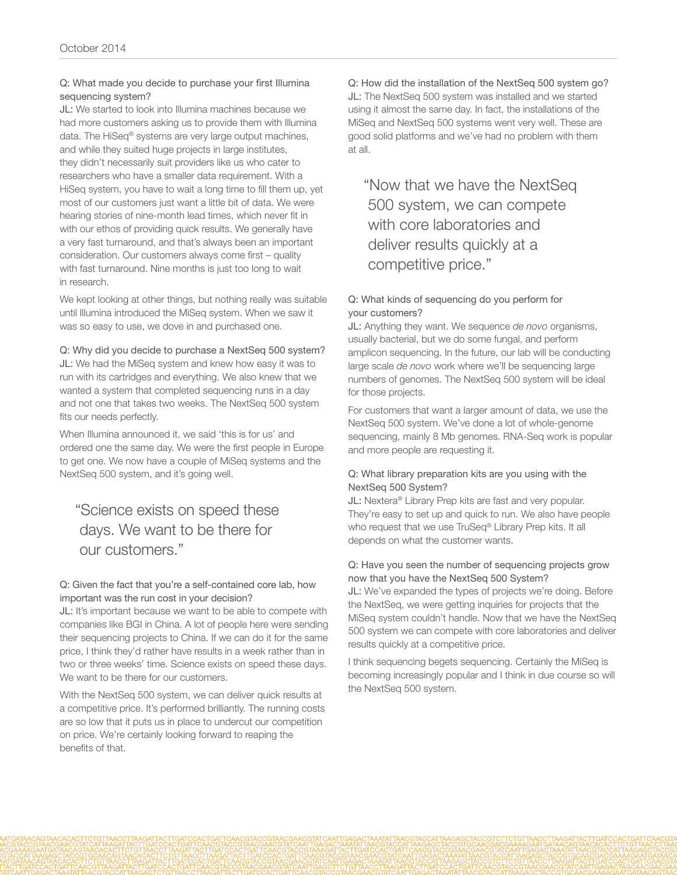#### Q: What made you decide to purchase your first Illumina sequencing system?

JL: We started to look into Illumina machines because we had more customers asking us to provide them with Illumina data. The HiSeq® systems are very large output machines, and while they suited huge projects in large institutes, they didn't necessarily suit providers like us who cater to researchers who have a smaller data requirement. With a HiSeq system, you have to wait a long time to fill them up, yet most of our customers just want a little bit of data. We were hearing stories of nine-month lead times, which never fit in with our ethos of providing quick results. We generally have a very fast turnaround, and that's always been an important consideration. Our customers always come first – quality with fast turnaround. Nine months is just too long to wait in research.

We kept looking at other things, but nothing really was suitable until Illumina introduced the MiSeq system. When we saw it was so easy to use, we dove in and purchased one.

#### Q: Why did you decide to purchase a NextSeq 500 system?

JL: We had the MiSeq system and knew how easy it was to run with its cartridges and everything. We also knew that we wanted a system that completed sequencing runs in a day and not one that takes two weeks. The NextSeq 500 system fits our needs perfectly.

When Illumina announced it, we said 'this is for us' and ordered one the same day. We were the first people in Europe to get one. We now have a couple of MiSeq systems and the NextSeq 500 system, and it's going well.

### "Science exists on speed these days. We want to be there for our customers."

#### Q: Given the fact that you're a self-contained core lab, how important was the run cost in your decision?

JL: It's important because we want to be able to compete with companies like BGI in China. A lot of people here were sending their sequencing projects to China. If we can do it for the same price, I think they'd rather have results in a week rather than in two or three weeks' time. Science exists on speed these days. We want to be there for our customers.

With the NextSeq 500 system, we can deliver quick results at a competitive price. It's performed brilliantly. The running costs are so low that it puts us in place to undercut our competition on price. We're certainly looking forward to reaping the benefits of that.

Q: How did the installation of the NextSeq 500 system go? JL: The NextSeq 500 system was installed and we started using it almost the same day. In fact, the installations of the MiSeq and NextSeq 500 systems went very well. These are good solid platforms and we've had no problem with them at all.

"Now that we have the NextSeq 500 system, we can compete with core laboratories and deliver results quickly at a competitive price."

#### Q: What kinds of sequencing do you perform for your customers?

JL: Anything they want. We sequence *de novo* organisms, usually bacterial, but we do some fungal, and perform amplicon sequencing. In the future, our lab will be conducting large scale *de novo* work where we'll be sequencing large numbers of genomes. The NextSeq 500 system will be ideal for those projects.

For customers that want a larger amount of data, we use the NextSeq 500 system. We've done a lot of whole-genome sequencing, mainly 8 Mb genomes. RNA-Seq work is popular and more people are requesting it.

#### Q: What library preparation kits are you using with the NextSeq 500 System?

JL: Nextera<sup>®</sup> Library Prep kits are fast and very popular. They're easy to set up and quick to run. We also have people who request that we use TruSeq® Library Prep kits. It all depends on what the customer wants.

#### Q: Have you seen the number of sequencing projects grow now that you have the NextSeq 500 System?

JL: We've expanded the types of projects we're doing. Before the NextSeq, we were getting inquiries for projects that the MiSeq system couldn't handle. Now that we have the NextSeq 500 system we can compete with core laboratories and deliver results quickly at a competitive price.

I think sequencing begets sequencing. Certainly the MiSeq is becoming increasingly popular and I think in due course so will the NextSeq 500 system.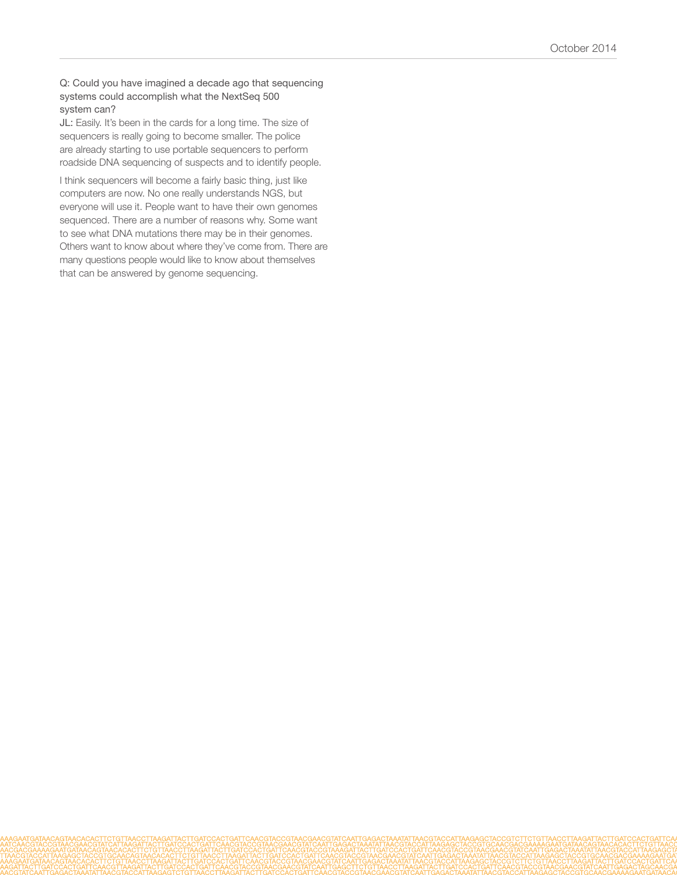#### Q: Could you have imagined a decade ago that sequencing systems could accomplish what the NextSeq 500 system can?

JL: Easily. It's been in the cards for a long time. The size of sequencers is really going to become smaller. The police are already starting to use portable sequencers to perform roadside DNA sequencing of suspects and to identify people.

I think sequencers will become a fairly basic thing, just like computers are now. No one really understands NGS, but everyone will use it. People want to have their own genomes sequenced. There are a number of reasons why. Some want to see what DNA mutations there may be in their genomes. Others want to know about where they've come from. There are many questions people would like to know about themselves that can be answered by genome sequencing.